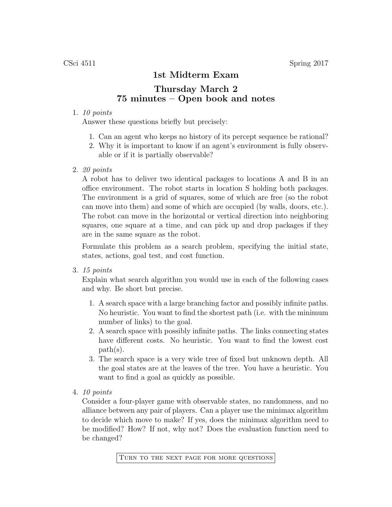## 1st Midterm Exam

## Thursday March 2 75 minutes – Open book and notes

## 1. 10 points

Answer these questions briefly but precisely:

- 1. Can an agent who keeps no history of its percept sequence be rational?
- 2. Why it is important to know if an agent's environment is fully observable or if it is partially observable?
- 2. 20 points

A robot has to deliver two identical packages to locations A and B in an office environment. The robot starts in location S holding both packages. The environment is a grid of squares, some of which are free (so the robot can move into them) and some of which are occupied (by walls, doors, etc.). The robot can move in the horizontal or vertical direction into neighboring squares, one square at a time, and can pick up and drop packages if they are in the same square as the robot.

Formulate this problem as a search problem, specifying the initial state, states, actions, goal test, and cost function.

3. 15 points

Explain what search algorithm you would use in each of the following cases and why. Be short but precise.

- 1. A search space with a large branching factor and possibly infinite paths. No heuristic. You want to find the shortest path (i.e. with the minimum number of links) to the goal.
- 2. A search space with possibly infinite paths. The links connecting states have different costs. No heuristic. You want to find the lowest cost path(s).
- 3. The search space is a very wide tree of fixed but unknown depth. All the goal states are at the leaves of the tree. You have a heuristic. You want to find a goal as quickly as possible.
- 4. 10 points

Consider a four-player game with observable states, no randomness, and no alliance between any pair of players. Can a player use the minimax algorithm to decide which move to make? If yes, does the minimax algorithm need to be modified? How? If not, why not? Does the evaluation function need to be changed?